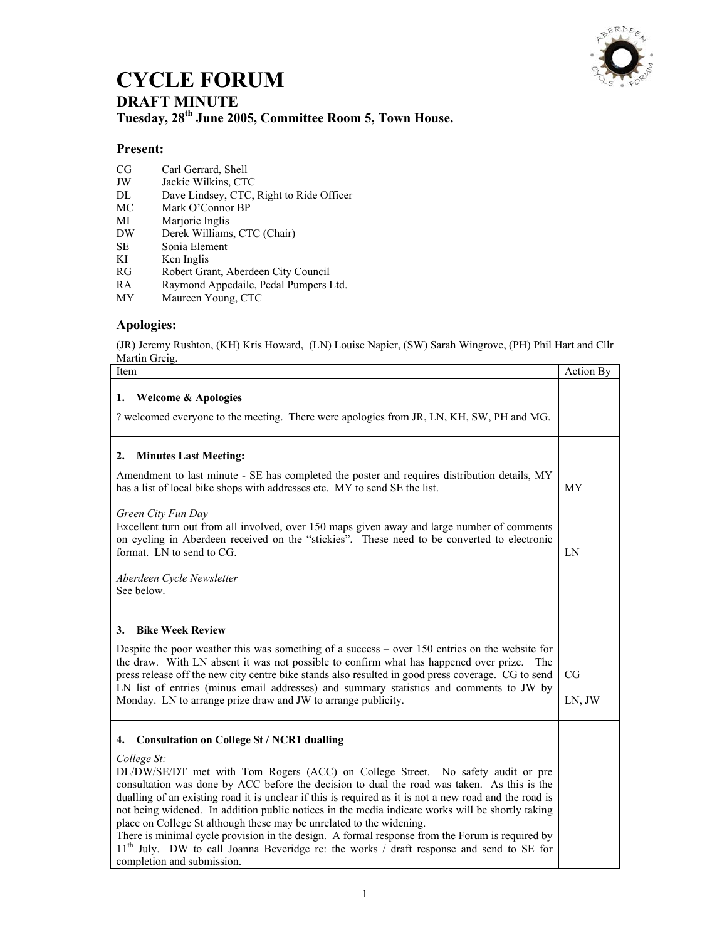

## **CYCLE FORUM**

**DRAFT MINUTE Tuesday, 28th June 2005, Committee Room 5, Town House.** 

## **Present:**

- CG Carl Gerrard, Shell
- JW Jackie Wilkins, CTC<br>DL Dave Lindsey, CTC,
- DL Dave Lindsey, CTC, Right to Ride Officer MC Mark O'Connor BP
- Mark O'Connor BP
- MI Marjorie Inglis<br>DW Derek Williams
- Derek Williams, CTC (Chair)
- SE Sonia Element<br>KI Ken Inglis
- Ken Inglis
- RG Robert Grant, Aberdeen City Council
- RA Raymond Appedaile, Pedal Pumpers Ltd.
- MY Maureen Young, CTC

## **Apologies:**

(JR) Jeremy Rushton, (KH) Kris Howard, (LN) Louise Napier, (SW) Sarah Wingrove, (PH) Phil Hart and Cllr Martin Greig.

| Item                                                                                                                                                                                                                                                                                                                                                                                                                                                                                                                                                                                                                                                                                                                                                                                    | Action By           |
|-----------------------------------------------------------------------------------------------------------------------------------------------------------------------------------------------------------------------------------------------------------------------------------------------------------------------------------------------------------------------------------------------------------------------------------------------------------------------------------------------------------------------------------------------------------------------------------------------------------------------------------------------------------------------------------------------------------------------------------------------------------------------------------------|---------------------|
| <b>Welcome &amp; Apologies</b><br>1.<br>? welcomed everyone to the meeting. There were apologies from JR, LN, KH, SW, PH and MG.                                                                                                                                                                                                                                                                                                                                                                                                                                                                                                                                                                                                                                                        |                     |
| <b>Minutes Last Meeting:</b><br>2.<br>Amendment to last minute - SE has completed the poster and requires distribution details, MY<br>has a list of local bike shops with addresses etc. MY to send SE the list.<br>Green City Fun Day<br>Excellent turn out from all involved, over 150 maps given away and large number of comments<br>on cycling in Aberdeen received on the "stickies". These need to be converted to electronic<br>format. LN to send to CG.<br>Aberdeen Cycle Newsletter<br>See below.                                                                                                                                                                                                                                                                            | <b>MY</b><br>LN     |
| <b>Bike Week Review</b><br>3.<br>Despite the poor weather this was something of a success $-$ over 150 entries on the website for<br>the draw. With LN absent it was not possible to confirm what has happened over prize.<br>The<br>press release off the new city centre bike stands also resulted in good press coverage. CG to send<br>LN list of entries (minus email addresses) and summary statistics and comments to JW by<br>Monday. LN to arrange prize draw and JW to arrange publicity.                                                                                                                                                                                                                                                                                     | <b>CG</b><br>LN, JW |
| <b>Consultation on College St / NCR1 dualling</b><br>4.<br>College St:<br>DL/DW/SE/DT met with Tom Rogers (ACC) on College Street. No safety audit or pre<br>consultation was done by ACC before the decision to dual the road was taken. As this is the<br>dualling of an existing road it is unclear if this is required as it is not a new road and the road is<br>not being widened. In addition public notices in the media indicate works will be shortly taking<br>place on College St although these may be unrelated to the widening.<br>There is minimal cycle provision in the design. A formal response from the Forum is required by<br>11 <sup>th</sup> July. DW to call Joanna Beveridge re: the works / draft response and send to SE for<br>completion and submission. |                     |